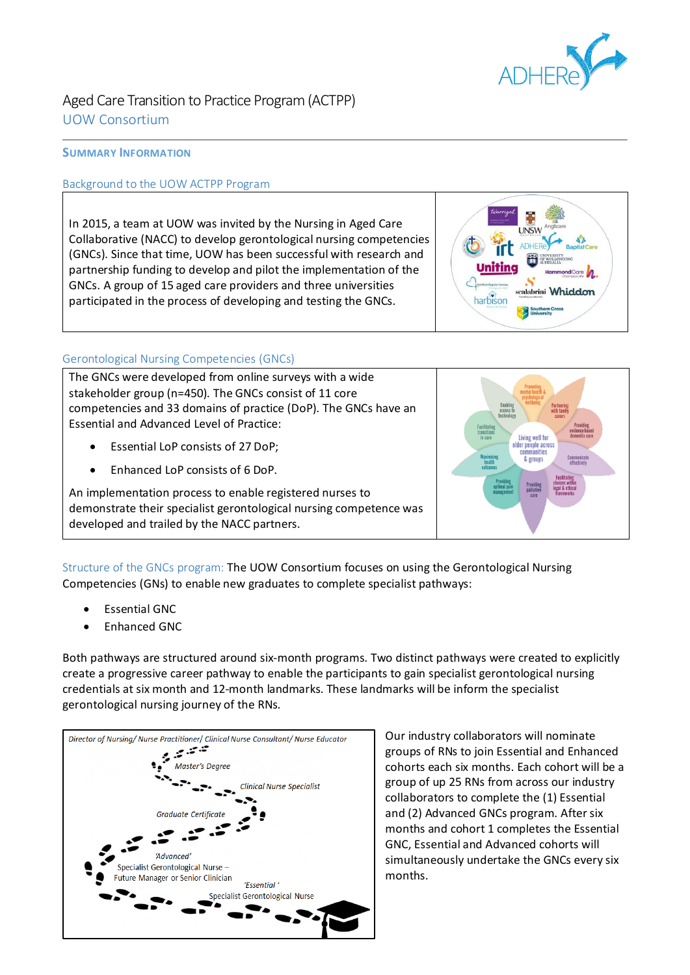

## Aged Care Transition to Practice Program (ACTPP) UOW Consortium

## **SUMMARY INFORMATION**

## Background to the UOW ACTPP Program

In 2015, a team at UOW was invited by the Nursing in Aged Care Collaborative (NACC) to develop gerontological nursing competencies (GNCs). Since that time, UOW has been successful with research and partnership funding to develop and pilot the implementation of the GNCs. A group of 15 aged care providers and three universities participated in the process of developing and testing the GNCs.



## Gerontological Nursing Competencies (GNCs)

The GNCs were developed from online surveys with a wide stakeholder group (n=450). The GNCs consist of 11 core competencies and 33 domains of practice (DoP). The GNCs have an Essential and Advanced Level of Practice:

- Essential LoP consists of 27 DoP;
- Enhanced LoP consists of 6 DoP.

An implementation process to enable registered nurses to demonstrate their specialist gerontological nursing competence was developed and trailed by the NACC partners.



Structure of the GNCs program: The UOW Consortium focuses on using the Gerontological Nursing Competencies (GNs) to enable new graduates to complete specialist pathways:

- **Essential GNC**
- Enhanced GNC

Both pathways are structured around six-month programs. Two distinct pathways were created to explicitly create a progressive career pathway to enable the participants to gain specialist gerontological nursing credentials at six month and 12-month landmarks. These landmarks will be inform the specialist gerontological nursing journey of the RNs.



Our industry collaborators will nominate groups of RNs to join Essential and Enhanced cohorts each six months. Each cohort will be a group of up 25 RNs from across our industry collaborators to complete the (1) Essential and (2) Advanced GNCs program. After six months and cohort 1 completes the Essential GNC, Essential and Advanced cohorts will simultaneously undertake the GNCs every six months.